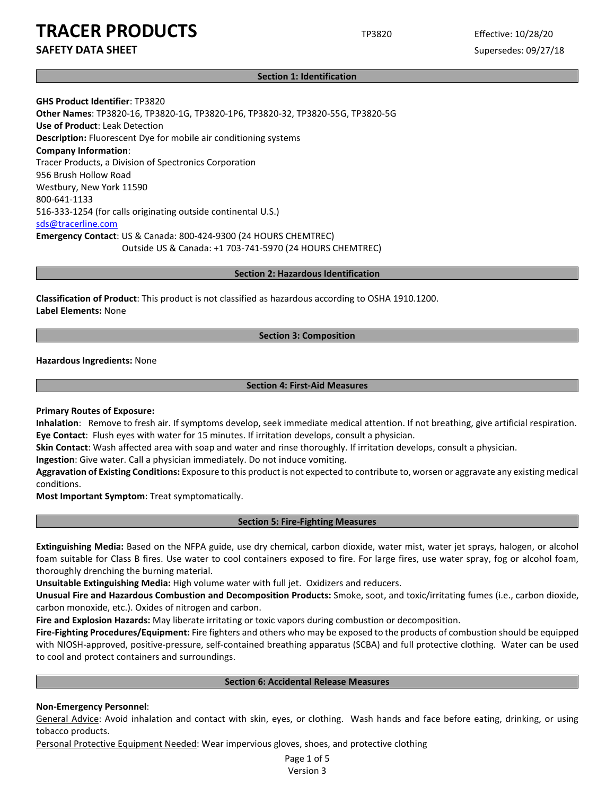**Section 1: Identification**

**GHS Product Identifier**: TP3820 **Other Names**: TP3820-16, TP3820-1G, TP3820-1P6, TP3820-32, TP3820-55G, TP3820-5G **Use of Product**: Leak Detection **Description:** Fluorescent Dye for mobile air conditioning systems **Company Information**: Tracer Products, a Division of Spectronics Corporation 956 Brush Hollow Road Westbury, New York 11590 800-641-1133 516-333-1254 (for calls originating outside continental U.S.) sds@tracerline.com **Emergency Contact**: US & Canada: 800-424-9300 (24 HOURS CHEMTREC) Outside US & Canada: +1 703-741-5970 (24 HOURS CHEMTREC)

**Section 2: Hazardous Identification**

**Classification of Product**: This product is not classified as hazardous according to OSHA 1910.1200. **Label Elements:** None

# **Section 3: Composition**

**Hazardous Ingredients:** None

### **Section 4: First-Aid Measures**

**Primary Routes of Exposure:**

**Inhalation**: Remove to fresh air. If symptoms develop, seek immediate medical attention. If not breathing, give artificial respiration. **Eye Contact**: Flush eyes with water for 15 minutes. If irritation develops, consult a physician.

**Skin Contact**: Wash affected area with soap and water and rinse thoroughly. If irritation develops, consult a physician.

**Ingestion**: Give water. Call a physician immediately. Do not induce vomiting.

**Aggravation of Existing Conditions:** Exposure to this product is not expected to contribute to, worsen or aggravate any existing medical conditions.

**Most Important Symptom**: Treat symptomatically.

### **Section 5: Fire-Fighting Measures**

**Extinguishing Media:** Based on the NFPA guide, use dry chemical, carbon dioxide, water mist, water jet sprays, halogen, or alcohol foam suitable for Class B fires. Use water to cool containers exposed to fire. For large fires, use water spray, fog or alcohol foam, thoroughly drenching the burning material.

**Unsuitable Extinguishing Media:** High volume water with full jet. Oxidizers and reducers.

**Unusual Fire and Hazardous Combustion and Decomposition Products:** Smoke, soot, and toxic/irritating fumes (i.e., carbon dioxide, carbon monoxide, etc.). Oxides of nitrogen and carbon.

**Fire and Explosion Hazards:** May liberate irritating or toxic vapors during combustion or decomposition.

**Fire-Fighting Procedures/Equipment:** Fire fighters and others who may be exposed to the products of combustion should be equipped with NIOSH-approved, positive-pressure, self-contained breathing apparatus (SCBA) and full protective clothing. Water can be used to cool and protect containers and surroundings.

# **Section 6: Accidental Release Measures**

# **Non-Emergency Personnel**:

General Advice: Avoid inhalation and contact with skin, eyes, or clothing. Wash hands and face before eating, drinking, or using tobacco products.

Personal Protective Equipment Needed: Wear impervious gloves, shoes, and protective clothing

Page 1 of 5 Version 3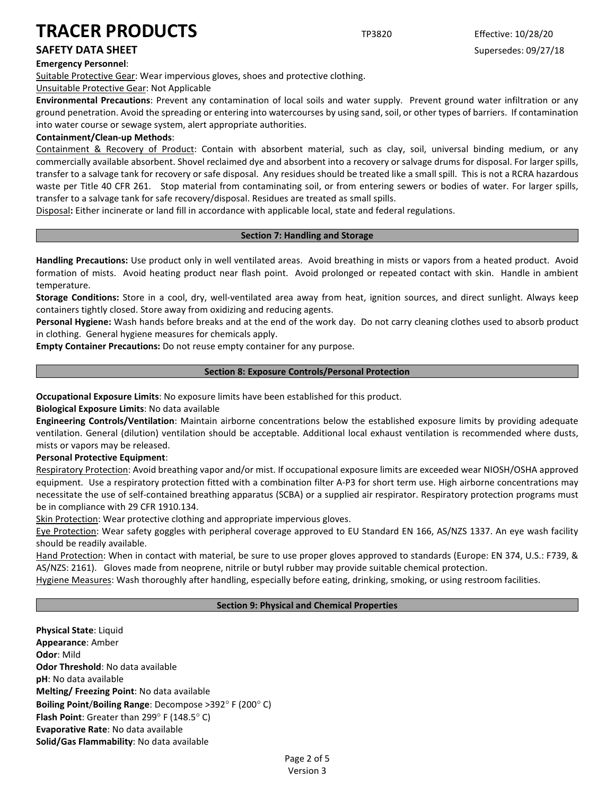# **Emergency Personnel**:

Suitable Protective Gear: Wear impervious gloves, shoes and protective clothing.

Unsuitable Protective Gear: Not Applicable

**Environmental Precautions**: Prevent any contamination of local soils and water supply. Prevent ground water infiltration or any ground penetration. Avoid the spreading or entering into watercourses by using sand, soil, or other types of barriers. If contamination into water course or sewage system, alert appropriate authorities.

# **Containment/Clean-up Methods**:

Containment & Recovery of Product: Contain with absorbent material, such as clay, soil, universal binding medium, or any commercially available absorbent. Shovel reclaimed dye and absorbent into a recovery or salvage drums for disposal. For larger spills, transfer to a salvage tank for recovery or safe disposal. Any residues should be treated like a small spill. This is not a RCRA hazardous waste per Title 40 CFR 261. Stop material from contaminating soil, or from entering sewers or bodies of water. For larger spills, transfer to a salvage tank for safe recovery/disposal. Residues are treated as small spills.

Disposal**:** Either incinerate or land fill in accordance with applicable local, state and federal regulations.

# **Section 7: Handling and Storage**

**Handling Precautions:** Use product only in well ventilated areas. Avoid breathing in mists or vapors from a heated product. Avoid formation of mists. Avoid heating product near flash point. Avoid prolonged or repeated contact with skin. Handle in ambient temperature.

**Storage Conditions:** Store in a cool, dry, well-ventilated area away from heat, ignition sources, and direct sunlight. Always keep containers tightly closed. Store away from oxidizing and reducing agents.

**Personal Hygiene:** Wash hands before breaks and at the end of the work day. Do not carry cleaning clothes used to absorb product in clothing. General hygiene measures for chemicals apply.

**Empty Container Precautions:** Do not reuse empty container for any purpose.

# **Section 8: Exposure Controls/Personal Protection**

**Occupational Exposure Limits**: No exposure limits have been established for this product.

**Biological Exposure Limits**: No data available

**Engineering Controls/Ventilation**: Maintain airborne concentrations below the established exposure limits by providing adequate ventilation. General (dilution) ventilation should be acceptable. Additional local exhaust ventilation is recommended where dusts, mists or vapors may be released.

# **Personal Protective Equipment**:

Respiratory Protection: Avoid breathing vapor and/or mist. If occupational exposure limits are exceeded wear NIOSH/OSHA approved equipment. Use a respiratory protection fitted with a combination filter A-P3 for short term use. High airborne concentrations may necessitate the use of self-contained breathing apparatus (SCBA) or a supplied air respirator. Respiratory protection programs must be in compliance with 29 CFR 1910.134.

Skin Protection: Wear protective clothing and appropriate impervious gloves.

Eye Protection: Wear safety goggles with peripheral coverage approved to EU Standard EN 166, AS/NZS 1337. An eye wash facility should be readily available.

Hand Protection: When in contact with material, be sure to use proper gloves approved to standards (Europe: EN 374, U.S.: F739, & AS/NZS: 2161). Gloves made from neoprene, nitrile or butyl rubber may provide suitable chemical protection.

Hygiene Measures: Wash thoroughly after handling, especially before eating, drinking, smoking, or using restroom facilities.

# **Section 9: Physical and Chemical Properties**

**Physical State**: Liquid **Appearance**: Amber **Odor**: Mild **Odor Threshold**: No data available **pH**: No data available **Melting/ Freezing Point**: No data available **Boiling Point**/**Boiling Range**: Decompose >392° F (200° C) **Flash Point**: Greater than 299° F (148.5° C) **Evaporative Rate**: No data available **Solid/Gas Flammability**: No data available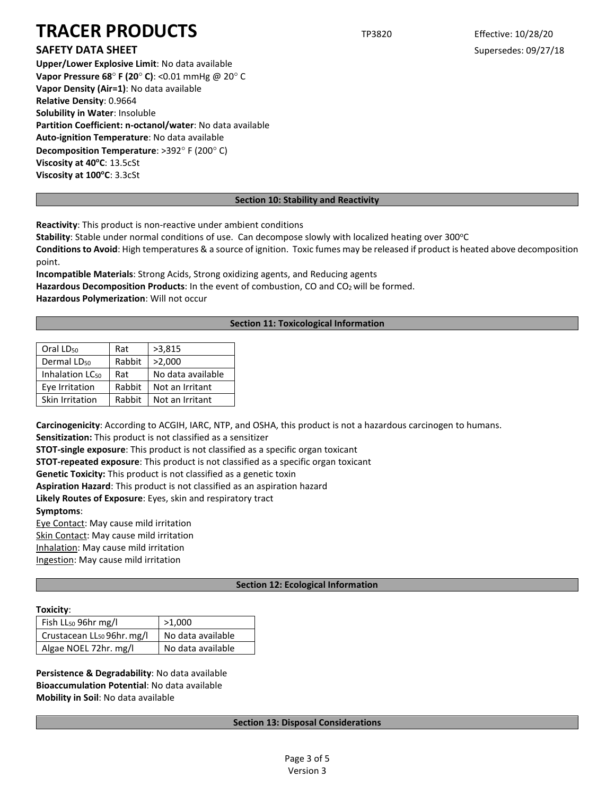# **SAFETY DATA SHEET** SUPERFOUR SUPERFOUR SUPERFOUR SUPERFOUR SUPERFOUR SUPERFOUR SUPERFOUR SUPERFOUR SUPERFOUR SUPERFOUR SUPERFOUR SUPERFOUR SUPERFOUR SUPERFOUR SUPERFOUR SUPERFOUR SUPERFOUR SUPERFOUR SUPERFOUR SUPERFOUR SU

**Upper/Lower Explosive Limit**: No data available **Vapor Pressure 68**° **F (20**° **C)**: <0.01 mmHg @ 20° C **Vapor Density (Air=1)**: No data available **Relative Density**: 0.9664 **Solubility in Water**: Insoluble **Partition Coefficient: n-octanol/water**: No data available **Auto-ignition Temperature**: No data available **Decomposition Temperature**: >392° F (200° C) **Viscosity at 40°C: 13.5cSt Viscosity at 100°C: 3.3cSt** 

# **Section 10: Stability and Reactivity**

**Reactivity**: This product is non-reactive under ambient conditions

Stability: Stable under normal conditions of use. Can decompose slowly with localized heating over 300°C

**Conditions to Avoid**: High temperatures & a source of ignition. Toxic fumes may be released if product is heated above decomposition point.

**Incompatible Materials**: Strong Acids, Strong oxidizing agents, and Reducing agents Hazardous Decomposition Products: In the event of combustion, CO and CO<sub>2</sub> will be formed.

**Hazardous Polymerization**: Will not occur

# **Section 11: Toxicological Information**

| Oral LD <sub>50</sub>       | Rat    | >3,815            |
|-----------------------------|--------|-------------------|
| Dermal LD <sub>50</sub>     | Rabbit | >2,000            |
| Inhalation LC <sub>50</sub> | Rat    | No data available |
| Eye Irritation              | Rabbit | Not an Irritant   |
| Skin Irritation             | Rabbit | Not an Irritant   |
|                             |        |                   |

**Carcinogenicity**: According to ACGIH, IARC, NTP, and OSHA, this product is not a hazardous carcinogen to humans.

**Sensitization:** This product is not classified as a sensitizer

**STOT-single exposure**: This product is not classified as a specific organ toxicant

**STOT-repeated exposure**: This product is not classified as a specific organ toxicant

**Genetic Toxicity:** This product is not classified as a genetic toxin

**Aspiration Hazard**: This product is not classified as an aspiration hazard

**Likely Routes of Exposure**: Eyes, skin and respiratory tract

**Symptoms**:

Eye Contact: May cause mild irritation

Skin Contact: May cause mild irritation

Inhalation: May cause mild irritation

Ingestion: May cause mild irritation

# **Section 12: Ecological Information**

# **Toxicity**:

| Fish LL <sub>50</sub> 96hr mg/l        | >1.000            |  |
|----------------------------------------|-------------------|--|
| Crustacean LL <sub>50</sub> 96hr. mg/l | No data available |  |
| Algae NOEL 72hr. mg/l                  | No data available |  |

**Persistence & Degradability**: No data available **Bioaccumulation Potential**: No data available **Mobility in Soil**: No data available

# **Section 13: Disposal Considerations**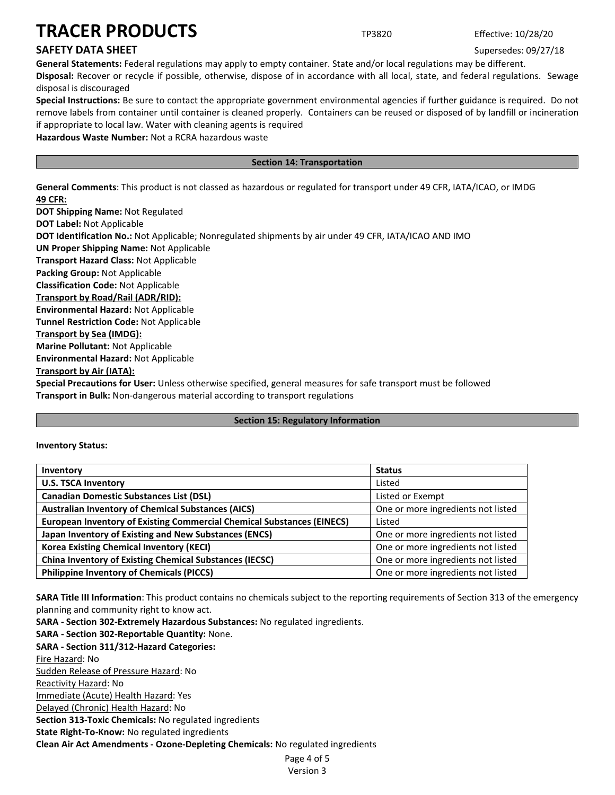# **SAFETY DATA SHEET** SUPERFOUR SUPERFOUR SUPERFOUR SUPERFOUR SUPERFOUR SUPERFOUR SUPERFOUR SUPERFOUR SUPERFOUR SUPERFOUR SUPERFOUR SUPERFOUR SUPERFOUR SUPERFOUR SUPERFOUR SUPERFOUR SUPERFOUR SUPERFOUR SUPERFOUR SUPERFOUR SU

**General Statements:** Federal regulations may apply to empty container. State and/or local regulations may be different. **Disposal:** Recover or recycle if possible, otherwise, dispose of in accordance with all local, state, and federal regulations. Sewage disposal is discouraged

**Special Instructions:** Be sure to contact the appropriate government environmental agencies if further guidance is required. Do not remove labels from container until container is cleaned properly. Containers can be reused or disposed of by landfill or incineration if appropriate to local law. Water with cleaning agents is required

**Hazardous Waste Number:** Not a RCRA hazardous waste

# **Section 14: Transportation**

**General Comments**: This product is not classed as hazardous or regulated for transport under 49 CFR, IATA/ICAO, or IMDG **49 CFR:**

**DOT Shipping Name:** Not Regulated **DOT Label:** Not Applicable **DOT Identification No.:** Not Applicable; Nonregulated shipments by air under 49 CFR, IATA/ICAO AND IMO **UN Proper Shipping Name:** Not Applicable **Transport Hazard Class:** Not Applicable **Packing Group:** Not Applicable **Classification Code:** Not Applicable **Transport by Road/Rail (ADR/RID): Environmental Hazard:** Not Applicable **Tunnel Restriction Code:** Not Applicable **Transport by Sea (IMDG): Marine Pollutant:** Not Applicable **Environmental Hazard:** Not Applicable **Transport by Air (IATA): Special Precautions for User:** Unless otherwise specified, general measures for safe transport must be followed **Transport in Bulk:** Non-dangerous material according to transport regulations

# **Section 15: Regulatory Information**

**Inventory Status:** 

| Inventory                                                                     | <b>Status</b>                      |
|-------------------------------------------------------------------------------|------------------------------------|
| <b>U.S. TSCA Inventory</b>                                                    | Listed                             |
| <b>Canadian Domestic Substances List (DSL)</b>                                | Listed or Exempt                   |
| <b>Australian Inventory of Chemical Substances (AICS)</b>                     | One or more ingredients not listed |
| <b>European Inventory of Existing Commercial Chemical Substances (EINECS)</b> | Listed                             |
| Japan Inventory of Existing and New Substances (ENCS)                         | One or more ingredients not listed |
| <b>Korea Existing Chemical Inventory (KECI)</b>                               | One or more ingredients not listed |
| <b>China Inventory of Existing Chemical Substances (IECSC)</b>                | One or more ingredients not listed |
| <b>Philippine Inventory of Chemicals (PICCS)</b>                              | One or more ingredients not listed |

**SARA Title III Information**: This product contains no chemicals subject to the reporting requirements of Section 313 of the emergency planning and community right to know act.

**SARA - Section 302-Extremely Hazardous Substances:** No regulated ingredients.

**SARA - Section 302-Reportable Quantity:** None. **SARA - Section 311/312-Hazard Categories:** Fire Hazard: No Sudden Release of Pressure Hazard: No Reactivity Hazard: No Immediate (Acute) Health Hazard: Yes Delayed (Chronic) Health Hazard: No **Section 313-Toxic Chemicals:** No regulated ingredients **State Right-To-Know:** No regulated ingredients **Clean Air Act Amendments - Ozone-Depleting Chemicals:** No regulated ingredients

Page 4 of 5 Version 3